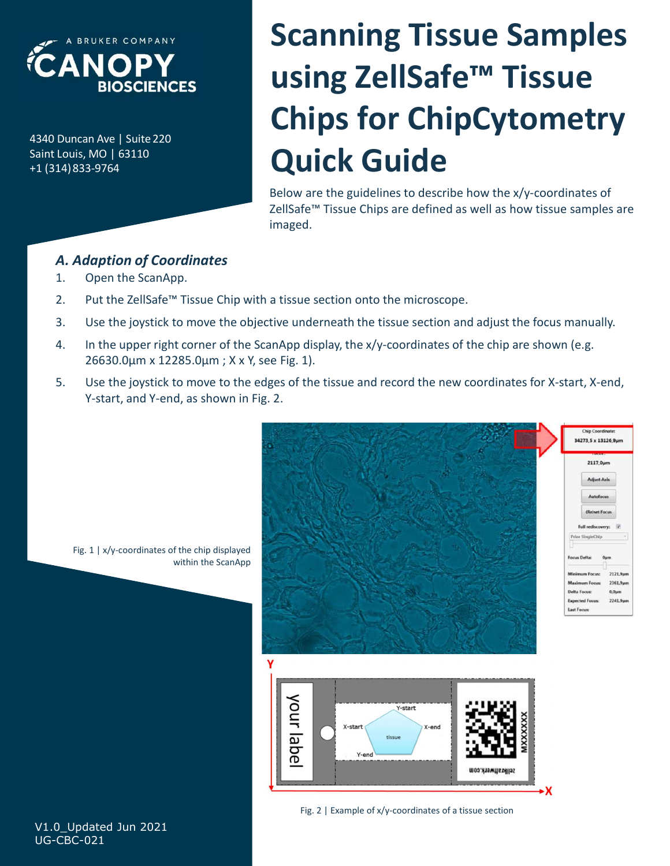

+1 (314)833-9764

# $\sum_{\text{ABUNICR A VURER CONPANY}\atop{AB 10\text{Unican Ave}|\text{ Suite 220}\atop{4340\text{ Duncan Ave}|\text{ Suite 220}}}\n\n**Chips for ChipCy**\n\n**Quick Guide**\n\nBelow are the guidelines to describe how the ZellSate<sup>m</sup> Tissue chips are defined as well as$ SCANOPY<br>
BIOSCIENCES<br>
BARUARE COMPANY<br>
BIOSCIENCES<br>
SAIN USING ZellSafe<br>
Chips for Chip<br>
Chips for Chip<br>
Claimaged.<br>
CHIPS COMPANY<br>
CHIPS CHIPS CHIP<br>
DUICK GUIDE<br>
Below are the guidelines to describe 1<br>
ZellSafe<sup>ne</sup> Tissue Scanning Tissue Samples using ZellSafe™ Tissue Chips for ChipCytometry Quick Guide **SCANDING TIS**<br>
DUNCIFICES<br>
DUNCIFICES<br>
DUNCIFICES<br>
DUNCIFICES<br>
DUNCIFICES<br>
DUNCIFICES<br>
DUNCIFICES<br>
DUNCIFICES<br>
DUNCIFICES<br>
DUNCIFICE CONDITION<br>
DUNCIFICATION<br>
BEOW are the guidelines to describe<br>
Religions are define<br>
and **2. Put the Zellsafe "** Tissue Chip with a tissue section onto the microscope.<br>
2. Put the Zellsafe "Tissue Chip with a tissue section onto the microscope.<br>
2. Durich SamApp.<br>
2. Put the Zellsafe The ScanApp.<br>
2. Put the **ANOPY<br>
DURGENCES CHIPS for ChipCytometry**<br>
DURGENCES, MO CRIPS TO THIPCO CHIPS<br>
DURGENCES CHIPS TO THIPCO CONTINUES OF SURFACE TO REVIVE THE SURFACE THIS BUT ALLOCALLY CHIPS are defined as well as how tissue samples are<br> BIOSCIENCES<br>
Duncan Ave | Suite 220<br>
Chips for Chip Cytometry<br>
14)833-9764<br>
Lealy, MO | 63110<br>
28 Eelow are the guidelines to describe how the x/y-coordinates of<br>
261820 This are defined as well as how tissue samples are<br> **Chips for ChipCytometre**<br>
MAVe | Suite 220<br>
MO | 63110<br>
339764<br> **Quick Guide**<br>
Below are the guidelines to describe how the x/y-coordinates<br>
2ellSafe<sup>ne</sup> Tissue Chips are defined as well as how tissue sample<br> *daption of* **Solution**<br> **Solution:** Use the guidelines to describe how the x/y-coordinates<br>
14)833-9764<br> **A. Adaption of Coordinates**<br>
1. Open the ScanApp.<br>
2. Put the ZellSafe<sup>na</sup> Tissue Chip with a tissue section onto the microscop

Below are the guidelines to describe how the x/y-coordinates of ZellSafe™ Tissue Chips are defined as well as how tissue samples are imaged.

## A. Adaption of Coordinates

- 
- 
- 
- 
- Y-start, and Y-end, as shown in Fig. 2.



Fig. 1 | x/y-coordinates of the chip displayed within the ScanApp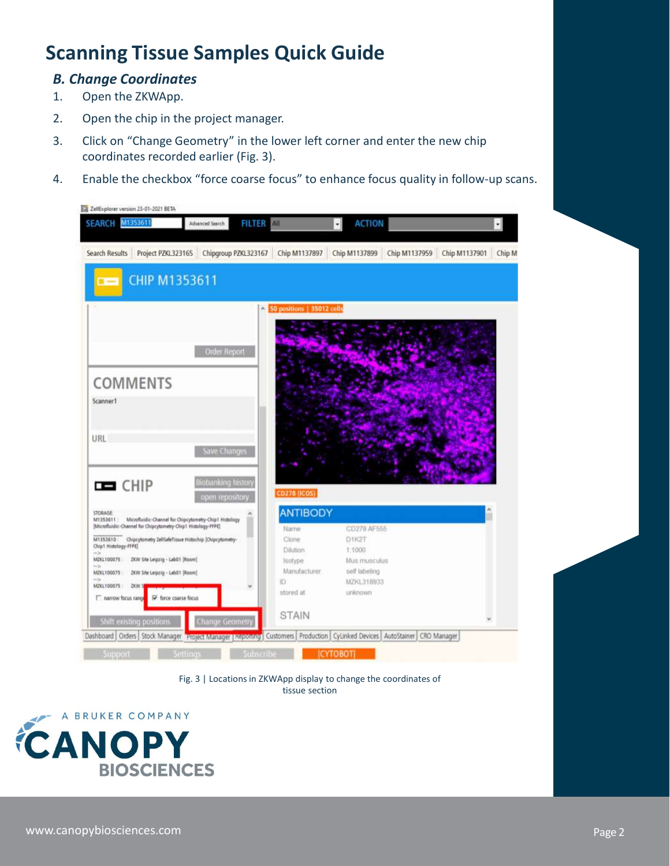# Scanning Tissue Samples Quick Guide

## B. Change Coordinates

- 
- 
- **Canning Tissue Samples Quick Guide**<br> **B. Change Coordinates**<br>
1. Open the ZKWApp.<br>
2. Open the chip in the project manager.<br>
3. Click on "Change Geometry" in the lower left corner and enter the recoordinates recorded earl **Examples Quick Guide<br>
2. Change Coordinates**<br>
2. Open the ZKWApp.<br>
2. Open the chip in the project manager.<br>
2. Click on "Change Geometry" in the lower left corner and enter the roordinates recorded earlier (Fig. 3).<br>
4. 3. Change Coordinates<br>
3. Click on "Change Geometry" in the lower left corner and enter the new chip<br>
3. Click on "Change Geometry" in the lower left corner and enter the new chip<br>
coordinates recorded earlier (Fig. 3).<br>
4 coordinates recorded earlier (Fig. 3).
- 

| Open the chip in the project manager.<br>Click on "Change Geometry" in the lower left corner and enter the new chip<br>Advanced Search<br>FILTER AIL<br><b>ACTION</b><br>M1353611<br>$\cdot$<br>CHIP M1353611<br>50 positions   35012 cells<br>Order Report<br>Save Changes<br><b>Biobanking history</b><br>CD278 (ICOS)<br>open repository<br><b>ANTIBODY</b><br>Microfluidic-Channel for Chipcytometry-Chip1 Histology<br>CD278 AF555<br>Name.<br>D1K2T<br>Clone<br>1:1000<br>Dilution<br>Isotype<br>Mus musculus<br>Manufacturer<br>self labeling<br>ID<br>MZKL318933<br>2KM<br>$\omega$<br>stored at<br>unicrown<br>STAIN<br>Shift existing positions<br>Change Geometry<br>Subscribe<br><b>ICYTOBOTI</b><br>Support<br>Settings<br>Fig. 3   Locations in ZKWApp display to change the coordinates of<br>tissue section<br><b>BIOSCIENCES</b>                      |  | Page 2                    | Open the ZKWApp. |  |
|------------------------------------------------------------------------------------------------------------------------------------------------------------------------------------------------------------------------------------------------------------------------------------------------------------------------------------------------------------------------------------------------------------------------------------------------------------------------------------------------------------------------------------------------------------------------------------------------------------------------------------------------------------------------------------------------------------------------------------------------------------------------------------------------------------------------------------------------------------------------|--|---------------------------|------------------|--|
| coordinates recorded earlier (Fig. 3).<br>Enable the checkbox "force coarse focus" to enhance focus quality in follow-up scans.<br>ZellExplorer version 23-01-2021 BETA<br><b>SEARCH</b><br>Search Results Project PZKL323165 Chipgroup PZKL323167 Chip M1137897 Chip M1137899 Chip M1137959 Chip M1137901 Chip M<br>COMMENTS<br>Scanner1<br><b>URL</b><br>$H = CHIP$<br><b>STORAGE</b><br>M1353611:<br>[Microfluidic-Channel for Chipcytometry-Chip1 Histology-FFPE]<br>M1353610: Chipcytometry ZellSafeTissue Histochip (Chipcytometry-<br>Chip1 Histology-FFPE)<br>MZKL100075 : ZKW Site Leipzig - LabO1 [Room]<br>M2KL100075: ZKW Site Leipzig - LabO1 [Room]<br>M2KL100075:<br>narrow focus range IV force coarse focus<br>Dashboard   Orders   Stock Manager Project Manager   Reporting   Customers   Production   CyLinked Devices   AutoStainer   CRO Manager |  |                           |                  |  |
|                                                                                                                                                                                                                                                                                                                                                                                                                                                                                                                                                                                                                                                                                                                                                                                                                                                                        |  |                           |                  |  |
|                                                                                                                                                                                                                                                                                                                                                                                                                                                                                                                                                                                                                                                                                                                                                                                                                                                                        |  |                           |                  |  |
|                                                                                                                                                                                                                                                                                                                                                                                                                                                                                                                                                                                                                                                                                                                                                                                                                                                                        |  |                           |                  |  |
|                                                                                                                                                                                                                                                                                                                                                                                                                                                                                                                                                                                                                                                                                                                                                                                                                                                                        |  |                           |                  |  |
|                                                                                                                                                                                                                                                                                                                                                                                                                                                                                                                                                                                                                                                                                                                                                                                                                                                                        |  |                           |                  |  |
|                                                                                                                                                                                                                                                                                                                                                                                                                                                                                                                                                                                                                                                                                                                                                                                                                                                                        |  |                           |                  |  |
|                                                                                                                                                                                                                                                                                                                                                                                                                                                                                                                                                                                                                                                                                                                                                                                                                                                                        |  |                           |                  |  |
|                                                                                                                                                                                                                                                                                                                                                                                                                                                                                                                                                                                                                                                                                                                                                                                                                                                                        |  |                           |                  |  |
|                                                                                                                                                                                                                                                                                                                                                                                                                                                                                                                                                                                                                                                                                                                                                                                                                                                                        |  |                           |                  |  |
|                                                                                                                                                                                                                                                                                                                                                                                                                                                                                                                                                                                                                                                                                                                                                                                                                                                                        |  |                           |                  |  |
|                                                                                                                                                                                                                                                                                                                                                                                                                                                                                                                                                                                                                                                                                                                                                                                                                                                                        |  |                           |                  |  |
|                                                                                                                                                                                                                                                                                                                                                                                                                                                                                                                                                                                                                                                                                                                                                                                                                                                                        |  |                           |                  |  |
|                                                                                                                                                                                                                                                                                                                                                                                                                                                                                                                                                                                                                                                                                                                                                                                                                                                                        |  |                           |                  |  |
|                                                                                                                                                                                                                                                                                                                                                                                                                                                                                                                                                                                                                                                                                                                                                                                                                                                                        |  |                           |                  |  |
|                                                                                                                                                                                                                                                                                                                                                                                                                                                                                                                                                                                                                                                                                                                                                                                                                                                                        |  |                           |                  |  |
|                                                                                                                                                                                                                                                                                                                                                                                                                                                                                                                                                                                                                                                                                                                                                                                                                                                                        |  |                           |                  |  |
|                                                                                                                                                                                                                                                                                                                                                                                                                                                                                                                                                                                                                                                                                                                                                                                                                                                                        |  |                           |                  |  |
|                                                                                                                                                                                                                                                                                                                                                                                                                                                                                                                                                                                                                                                                                                                                                                                                                                                                        |  |                           |                  |  |
|                                                                                                                                                                                                                                                                                                                                                                                                                                                                                                                                                                                                                                                                                                                                                                                                                                                                        |  |                           |                  |  |
| A BRUKER COMPANY<br><b>CANOPY</b>                                                                                                                                                                                                                                                                                                                                                                                                                                                                                                                                                                                                                                                                                                                                                                                                                                      |  |                           |                  |  |
|                                                                                                                                                                                                                                                                                                                                                                                                                                                                                                                                                                                                                                                                                                                                                                                                                                                                        |  |                           |                  |  |
|                                                                                                                                                                                                                                                                                                                                                                                                                                                                                                                                                                                                                                                                                                                                                                                                                                                                        |  |                           |                  |  |
|                                                                                                                                                                                                                                                                                                                                                                                                                                                                                                                                                                                                                                                                                                                                                                                                                                                                        |  |                           |                  |  |
|                                                                                                                                                                                                                                                                                                                                                                                                                                                                                                                                                                                                                                                                                                                                                                                                                                                                        |  |                           |                  |  |
|                                                                                                                                                                                                                                                                                                                                                                                                                                                                                                                                                                                                                                                                                                                                                                                                                                                                        |  |                           |                  |  |
|                                                                                                                                                                                                                                                                                                                                                                                                                                                                                                                                                                                                                                                                                                                                                                                                                                                                        |  |                           |                  |  |
|                                                                                                                                                                                                                                                                                                                                                                                                                                                                                                                                                                                                                                                                                                                                                                                                                                                                        |  | www.canopybiosciences.com |                  |  |

tissue section